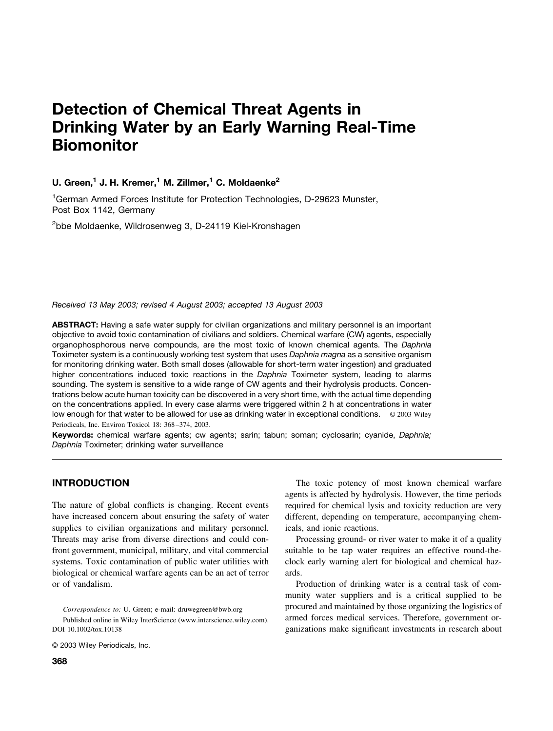# **Detection of Chemical Threat Agents in Drinking Water by an Early Warning Real-Time Biomonitor**

# **U. Green,<sup>1</sup> J. H. Kremer,<sup>1</sup> M. Zillmer,<sup>1</sup> C. Moldaenke<sup>2</sup>**

<sup>1</sup>German Armed Forces Institute for Protection Technologies, D-29623 Munster, Post Box 1142, Germany

<sup>2</sup>bbe Moldaenke, Wildrosenweg 3, D-24119 Kiel-Kronshagen

*Received 13 May 2003; revised 4 August 2003; accepted 13 August 2003*

**ABSTRACT:** Having a safe water supply for civilian organizations and military personnel is an important objective to avoid toxic contamination of civilians and soldiers. Chemical warfare (CW) agents, especially organophosphorous nerve compounds, are the most toxic of known chemical agents. The *Daphnia* Toximeter system is a continuously working test system that uses *Daphnia magna* as a sensitive organism for monitoring drinking water. Both small doses (allowable for short-term water ingestion) and graduated higher concentrations induced toxic reactions in the *Daphnia* Toximeter system, leading to alarms sounding. The system is sensitive to a wide range of CW agents and their hydrolysis products. Concentrations below acute human toxicity can be discovered in a very short time, with the actual time depending on the concentrations applied. In every case alarms were triggered within 2 h at concentrations in water low enough for that water to be allowed for use as drinking water in exceptional conditions. © 2003 Wiley Periodicals, Inc. Environ Toxicol 18: 368 –374, 2003.

**Keywords:** chemical warfare agents; cw agents; sarin; tabun; soman; cyclosarin; cyanide, *Daphnia; Daphnia* Toximeter; drinking water surveillance

# **INTRODUCTION**

The nature of global conflicts is changing. Recent events have increased concern about ensuring the safety of water supplies to civilian organizations and military personnel. Threats may arise from diverse directions and could confront government, municipal, military, and vital commercial systems. Toxic contamination of public water utilities with biological or chemical warfare agents can be an act of terror or of vandalism.

*Correspondence to:* U. Green; e-mail: druwegreen@bwb.org Published online in Wiley InterScience (www.interscience.wiley.com). DOI 10.1002/tox.10138

© 2003 Wiley Periodicals, Inc.

The toxic potency of most known chemical warfare agents is affected by hydrolysis. However, the time periods required for chemical lysis and toxicity reduction are very different, depending on temperature, accompanying chemicals, and ionic reactions.

Processing ground- or river water to make it of a quality suitable to be tap water requires an effective round-theclock early warning alert for biological and chemical hazards.

Production of drinking water is a central task of community water suppliers and is a critical supplied to be procured and maintained by those organizing the logistics of armed forces medical services. Therefore, government organizations make significant investments in research about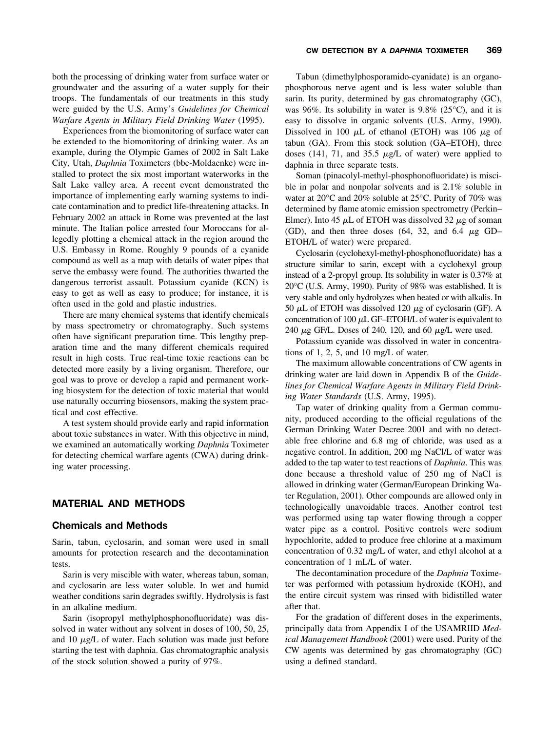both the processing of drinking water from surface water or groundwater and the assuring of a water supply for their troops. The fundamentals of our treatments in this study were guided by the U.S. Army's *Guidelines for Chemical Warfare Agents in Military Field Drinking Water* (1995).

Experiences from the biomonitoring of surface water can be extended to the biomonitoring of drinking water. As an example, during the Olympic Games of 2002 in Salt Lake City, Utah, *Daphnia* Toximeters (bbe-Moldaenke) were installed to protect the six most important waterworks in the Salt Lake valley area. A recent event demonstrated the importance of implementing early warning systems to indicate contamination and to predict life-threatening attacks. In February 2002 an attack in Rome was prevented at the last minute. The Italian police arrested four Moroccans for allegedly plotting a chemical attack in the region around the U.S. Embassy in Rome. Roughly 9 pounds of a cyanide compound as well as a map with details of water pipes that serve the embassy were found. The authorities thwarted the dangerous terrorist assault. Potassium cyanide (KCN) is easy to get as well as easy to produce; for instance, it is often used in the gold and plastic industries.

There are many chemical systems that identify chemicals by mass spectrometry or chromatography. Such systems often have significant preparation time. This lengthy preparation time and the many different chemicals required result in high costs. True real-time toxic reactions can be detected more easily by a living organism. Therefore, our goal was to prove or develop a rapid and permanent working biosystem for the detection of toxic material that would use naturally occurring biosensors, making the system practical and cost effective.

A test system should provide early and rapid information about toxic substances in water. With this objective in mind, we examined an automatically working *Daphnia* Toximeter for detecting chemical warfare agents (CWA) during drinking water processing.

#### **MATERIAL AND METHODS**

#### **Chemicals and Methods**

Sarin, tabun, cyclosarin, and soman were used in small amounts for protection research and the decontamination tests.

Sarin is very miscible with water, whereas tabun, soman, and cyclosarin are less water soluble. In wet and humid weather conditions sarin degrades swiftly. Hydrolysis is fast in an alkaline medium.

Sarin (isopropyl methylphosphonofluoridate) was dissolved in water without any solvent in doses of 100, 50, 25, and 10  $\mu$ g/L of water. Each solution was made just before starting the test with daphnia. Gas chromatographic analysis of the stock solution showed a purity of 97%.

Tabun (dimethylphosporamido-cyanidate) is an organophosphorous nerve agent and is less water soluble than sarin. Its purity, determined by gas chromatography (GC), was 96%. Its solubility in water is 9.8% (25 $^{\circ}$ C), and it is easy to dissolve in organic solvents (U.S. Army, 1990). Dissolved in 100  $\mu$ L of ethanol (ETOH) was 106  $\mu$ g of tabun (GA). From this stock solution (GA–ETOH), three doses (141, 71, and 35.5  $\mu$ g/L of water) were applied to daphnia in three separate tests.

Soman (pinacolyl-methyl-phosphonofluoridate) is miscible in polar and nonpolar solvents and is 2.1% soluble in water at 20°C and 20% soluble at 25°C. Purity of 70% was determined by flame atomic emission spectrometry (Perkin– Elmer). Into 45  $\mu$ L of ETOH was dissolved 32  $\mu$ g of soman (GD), and then three doses  $(64, 32,$  and  $6.4 \mu$ g GD– ETOH/L of water) were prepared.

Cyclosarin (cyclohexyl-methyl-phosphonofluoridate) has a structure similar to sarin, except with a cyclohexyl group instead of a 2-propyl group. Its solubility in water is 0.37% at 20°C (U.S. Army, 1990). Purity of 98% was established. It is very stable and only hydrolyzes when heated or with alkalis. In 50  $\mu$ L of ETOH was dissolved 120  $\mu$ g of cyclosarin (GF). A concentration of 100  $\mu$ L GF–ETOH/L of water is equivalent to 240  $\mu$ g GF/L. Doses of 240, 120, and 60  $\mu$ g/L were used.

Potassium cyanide was dissolved in water in concentrations of 1, 2, 5, and 10 mg/L of water.

The maximum allowable concentrations of CW agents in drinking water are laid down in Appendix B of the *Guidelines for Chemical Warfare Agents in Military Field Drinking Water Standards* (U.S. Army, 1995).

Tap water of drinking quality from a German community, produced according to the official regulations of the German Drinking Water Decree 2001 and with no detectable free chlorine and 6.8 mg of chloride, was used as a negative control. In addition, 200 mg NaCl/L of water was added to the tap water to test reactions of *Daphnia*. This was done because a threshold value of 250 mg of NaCl is allowed in drinking water (German/European Drinking Water Regulation, 2001). Other compounds are allowed only in technologically unavoidable traces. Another control test was performed using tap water flowing through a copper water pipe as a control. Positive controls were sodium hypochlorite, added to produce free chlorine at a maximum concentration of 0.32 mg/L of water, and ethyl alcohol at a concentration of 1 mL/L of water.

The decontamination procedure of the *Daphnia* Toximeter was performed with potassium hydroxide (KOH), and the entire circuit system was rinsed with bidistilled water after that.

For the gradation of different doses in the experiments, principally data from Appendix I of the USAMRIID *Medical Management Handbook* (2001) were used. Purity of the CW agents was determined by gas chromatography (GC) using a defined standard.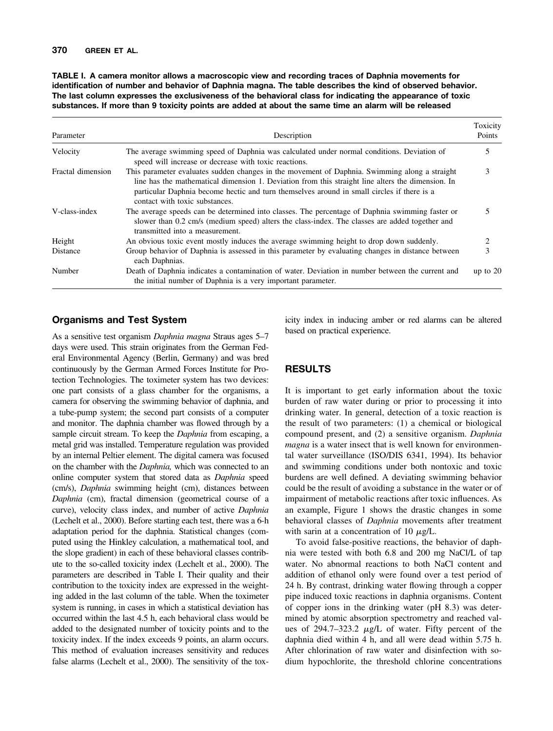### **370 GREEN ET AL.**

**TABLE I. A camera monitor allows a macroscopic view and recording traces of Daphnia movements for identification of number and behavior of Daphnia magna. The table describes the kind of observed behavior. The last column expresses the exclusiveness of the behavioral class for indicating the appearance of toxic substances. If more than 9 toxicity points are added at about the same time an alarm will be released**

| Parameter         | Description                                                                                                                                                                                                                                                                                                                        | Toxicity<br>Points |  |
|-------------------|------------------------------------------------------------------------------------------------------------------------------------------------------------------------------------------------------------------------------------------------------------------------------------------------------------------------------------|--------------------|--|
| Velocity          | The average swimming speed of Daphnia was calculated under normal conditions. Deviation of<br>speed will increase or decrease with toxic reactions.                                                                                                                                                                                |                    |  |
| Fractal dimension | This parameter evaluates sudden changes in the movement of Daphnia. Swimming along a straight<br>line has the mathematical dimension 1. Deviation from this straight line alters the dimension. In<br>particular Daphnia become hectic and turn themselves around in small circles if there is a<br>contact with toxic substances. |                    |  |
| V-class-index     | The average speeds can be determined into classes. The percentage of Daphnia swimming faster or<br>slower than 0.2 cm/s (medium speed) alters the class-index. The classes are added together and<br>transmitted into a measurement.                                                                                               |                    |  |
| Height            | An obvious toxic event mostly induces the average swimming height to drop down suddenly.                                                                                                                                                                                                                                           | 2                  |  |
| Distance          | Group behavior of Daphnia is assessed in this parameter by evaluating changes in distance between<br>each Daphnias.                                                                                                                                                                                                                | 3                  |  |
| Number            | Death of Daphnia indicates a contamination of water. Deviation in number between the current and<br>the initial number of Daphnia is a very important parameter.                                                                                                                                                                   | up to $20$         |  |

# **Organisms and Test System**

As a sensitive test organism *Daphnia magna* Straus ages 5–7 days were used. This strain originates from the German Federal Environmental Agency (Berlin, Germany) and was bred continuously by the German Armed Forces Institute for Protection Technologies. The toximeter system has two devices: one part consists of a glass chamber for the organisms, a camera for observing the swimming behavior of daphnia, and a tube-pump system; the second part consists of a computer and monitor. The daphnia chamber was flowed through by a sample circuit stream. To keep the *Daphnia* from escaping, a metal grid was installed. Temperature regulation was provided by an internal Peltier element. The digital camera was focused on the chamber with the *Daphnia,* which was connected to an online computer system that stored data as *Daphnia* speed (cm/s), *Daphnia* swimming height (cm), distances between *Daphnia* (cm), fractal dimension (geometrical course of a curve), velocity class index, and number of active *Daphnia* (Lechelt et al., 2000). Before starting each test, there was a 6-h adaptation period for the daphnia. Statistical changes (computed using the Hinkley calculation, a mathematical tool, and the slope gradient) in each of these behavioral classes contribute to the so-called toxicity index (Lechelt et al., 2000). The parameters are described in Table I. Their quality and their contribution to the toxicity index are expressed in the weighting added in the last column of the table. When the toximeter system is running, in cases in which a statistical deviation has occurred within the last 4.5 h, each behavioral class would be added to the designated number of toxicity points and to the toxicity index. If the index exceeds 9 points, an alarm occurs. This method of evaluation increases sensitivity and reduces false alarms (Lechelt et al., 2000). The sensitivity of the toxicity index in inducing amber or red alarms can be altered based on practical experience.

# **RESULTS**

It is important to get early information about the toxic burden of raw water during or prior to processing it into drinking water. In general, detection of a toxic reaction is the result of two parameters: (1) a chemical or biological compound present, and (2) a sensitive organism. *Daphnia magna* is a water insect that is well known for environmental water surveillance (ISO/DIS 6341, 1994). Its behavior and swimming conditions under both nontoxic and toxic burdens are well defined. A deviating swimming behavior could be the result of avoiding a substance in the water or of impairment of metabolic reactions after toxic influences. As an example, Figure 1 shows the drastic changes in some behavioral classes of *Daphnia* movements after treatment with sarin at a concentration of 10  $\mu$ g/L.

To avoid false-positive reactions, the behavior of daphnia were tested with both 6.8 and 200 mg NaCl/L of tap water. No abnormal reactions to both NaCl content and addition of ethanol only were found over a test period of 24 h. By contrast, drinking water flowing through a copper pipe induced toxic reactions in daphnia organisms. Content of copper ions in the drinking water (pH 8.3) was determined by atomic absorption spectrometry and reached values of 294.7–323.2  $\mu$ g/L of water. Fifty percent of the daphnia died within 4 h, and all were dead within 5.75 h. After chlorination of raw water and disinfection with sodium hypochlorite, the threshold chlorine concentrations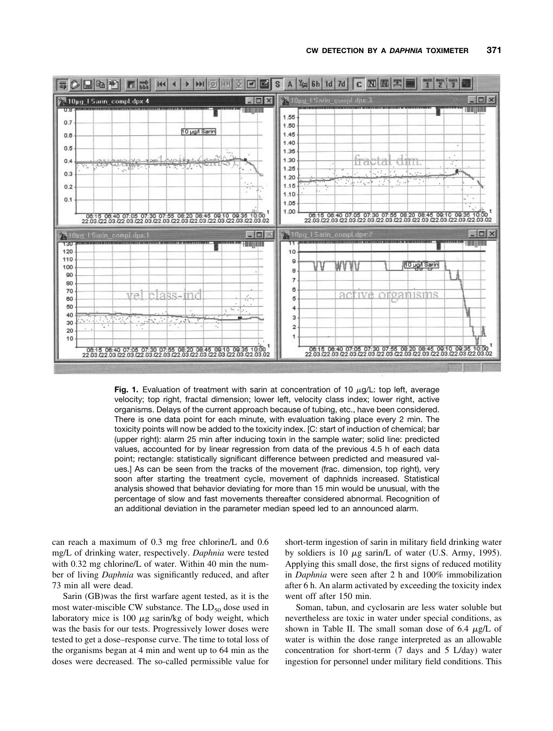

**Fig. 1.** Evaluation of treatment with sarin at concentration of 10  $\mu$ g/L: top left, average velocity; top right, fractal dimension; lower left, velocity class index; lower right, active organisms. Delays of the current approach because of tubing, etc., have been considered. There is one data point for each minute, with evaluation taking place every 2 min. The toxicity points will now be added to the toxicity index. [C: start of induction of chemical; bar (upper right): alarm 25 min after inducing toxin in the sample water; solid line: predicted values, accounted for by linear regression from data of the previous 4.5 h of each data point; rectangle: statistically significant difference between predicted and measured values.] As can be seen from the tracks of the movement (frac. dimension, top right), very soon after starting the treatment cycle, movement of daphnids increased. Statistical analysis showed that behavior deviating for more than 15 min would be unusual, with the percentage of slow and fast movements thereafter considered abnormal. Recognition of an additional deviation in the parameter median speed led to an announced alarm.

can reach a maximum of 0.3 mg free chlorine/L and 0.6 mg/L of drinking water, respectively. *Daphnia* were tested with 0.32 mg chlorine/L of water. Within 40 min the number of living *Daphnia* was significantly reduced, and after 73 min all were dead.

Sarin (GB)was the first warfare agent tested, as it is the most water-miscible CW substance. The  $LD_{50}$  dose used in laboratory mice is 100  $\mu$ g sarin/kg of body weight, which was the basis for our tests. Progressively lower doses were tested to get a dose–response curve. The time to total loss of the organisms began at 4 min and went up to 64 min as the doses were decreased. The so-called permissible value for

short-term ingestion of sarin in military field drinking water by soldiers is 10  $\mu$ g sarin/L of water (U.S. Army, 1995). Applying this small dose, the first signs of reduced motility in *Daphnia* were seen after 2 h and 100% immobilization after 6 h. An alarm activated by exceeding the toxicity index went off after 150 min.

Soman, tabun, and cyclosarin are less water soluble but nevertheless are toxic in water under special conditions, as shown in Table II. The small soman dose of  $6.4 \mu g/L$  of water is within the dose range interpreted as an allowable concentration for short-term (7 days and 5 L/day) water ingestion for personnel under military field conditions. This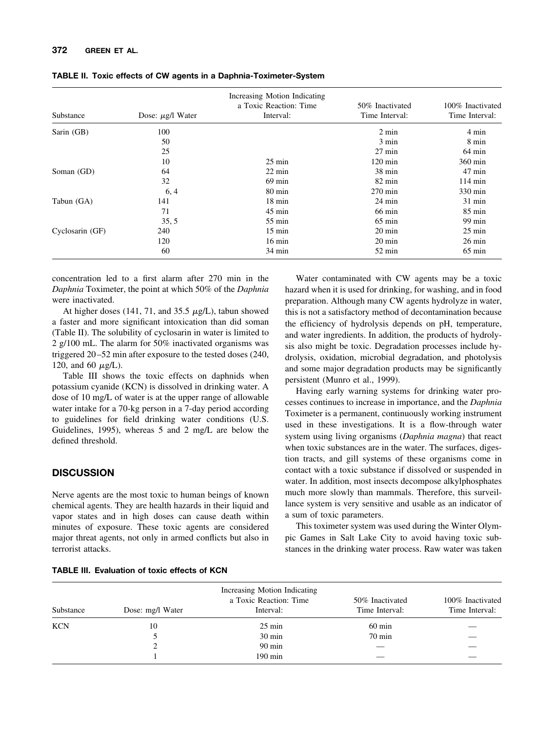#### **372 GREEN ET AL.**

| Substance       | Dose: $\mu$ g/l Water | Increasing Motion Indicating<br>a Toxic Reaction: Time<br>Interval: | 50% Inactivated<br>Time Interval: | 100% Inactivated<br>Time Interval: |
|-----------------|-----------------------|---------------------------------------------------------------------|-----------------------------------|------------------------------------|
| Sarin (GB)      | 100                   |                                                                     | $2 \text{ min}$                   | $4 \text{ min}$                    |
|                 | 50                    |                                                                     | $3 \text{ min}$                   | 8 min                              |
|                 | 25                    |                                                                     | $27 \text{ min}$                  | $64 \text{ min}$                   |
|                 | 10                    | $25 \text{ min}$                                                    | $120 \text{ min}$                 | 360 min                            |
| Soman (GD)      | 64                    | $22 \text{ min}$                                                    | $38 \text{ min}$                  | $47 \text{ min}$                   |
|                 | 32                    | $69 \text{ min}$                                                    | $82 \text{ min}$                  | $114 \text{ min}$                  |
|                 | 6, 4                  | $80 \text{ min}$                                                    | $270 \text{ min}$                 | 330 min                            |
| Tabun (GA)      | 141                   | $18 \text{ min}$                                                    | $24 \text{ min}$                  | 31 min                             |
|                 | 71                    | $45 \text{ min}$                                                    | $66 \text{ min}$                  | $85 \text{ min}$                   |
|                 | 35, 5                 | $55 \text{ min}$                                                    | $65 \text{ min}$                  | $99 \text{ min}$                   |
| Cyclosarin (GF) | 240                   | $15 \text{ min}$                                                    | $20 \text{ min}$                  | $25 \text{ min}$                   |
|                 | 120                   | $16 \text{ min}$                                                    | $20 \text{ min}$                  | $26 \text{ min}$                   |
|                 | 60                    | $34 \text{ min}$                                                    | $52 \text{ min}$                  | $65 \text{ min}$                   |

**TABLE II. Toxic effects of CW agents in a Daphnia-Toximeter-System**

concentration led to a first alarm after 270 min in the *Daphnia* Toximeter, the point at which 50% of the *Daphnia* were inactivated.

At higher doses (141, 71, and 35.5  $\mu$ g/L), tabun showed a faster and more significant intoxication than did soman (Table II). The solubility of cyclosarin in water is limited to 2 g/100 mL. The alarm for 50% inactivated organisms was triggered 20 –52 min after exposure to the tested doses (240, 120, and 60  $\mu$ g/L).

Table III shows the toxic effects on daphnids when potassium cyanide (KCN) is dissolved in drinking water. A dose of 10 mg/L of water is at the upper range of allowable water intake for a 70-kg person in a 7-day period according to guidelines for field drinking water conditions (U.S. Guidelines, 1995), whereas 5 and 2 mg/L are below the defined threshold.

## **DISCUSSION**

Nerve agents are the most toxic to human beings of known chemical agents. They are health hazards in their liquid and vapor states and in high doses can cause death within minutes of exposure. These toxic agents are considered major threat agents, not only in armed conflicts but also in terrorist attacks.

Water contaminated with CW agents may be a toxic hazard when it is used for drinking, for washing, and in food preparation. Although many CW agents hydrolyze in water, this is not a satisfactory method of decontamination because the efficiency of hydrolysis depends on pH, temperature, and water ingredients. In addition, the products of hydrolysis also might be toxic. Degradation processes include hydrolysis, oxidation, microbial degradation, and photolysis and some major degradation products may be significantly persistent (Munro et al., 1999).

Having early warning systems for drinking water processes continues to increase in importance, and the *Daphnia* Toximeter is a permanent, continuously working instrument used in these investigations. It is a flow-through water system using living organisms (*Daphnia magna*) that react when toxic substances are in the water. The surfaces, digestion tracts, and gill systems of these organisms come in contact with a toxic substance if dissolved or suspended in water. In addition, most insects decompose alkylphosphates much more slowly than mammals. Therefore, this surveillance system is very sensitive and usable as an indicator of a sum of toxic parameters.

This toximeter system was used during the Winter Olympic Games in Salt Lake City to avoid having toxic substances in the drinking water process. Raw water was taken

> 100% Inactivated Time Interval:

| Substance | Dose: mg/l Water | Increasing Motion Indicating<br>a Toxic Reaction: Time<br>Interval: | 50% Inactivated<br>Time Interval: | $100\%$ Ina<br>Time In |
|-----------|------------------|---------------------------------------------------------------------|-----------------------------------|------------------------|
| KCN       | 10               | $25 \text{ min}$                                                    | $60 \text{ min}$                  |                        |
|           |                  | $30 \text{ min}$                                                    | $70 \text{ min}$                  |                        |
|           |                  | $90 \text{ min}$                                                    |                                   |                        |

1 190 min — —

**TABLE III. Evaluation of toxic effects of KCN**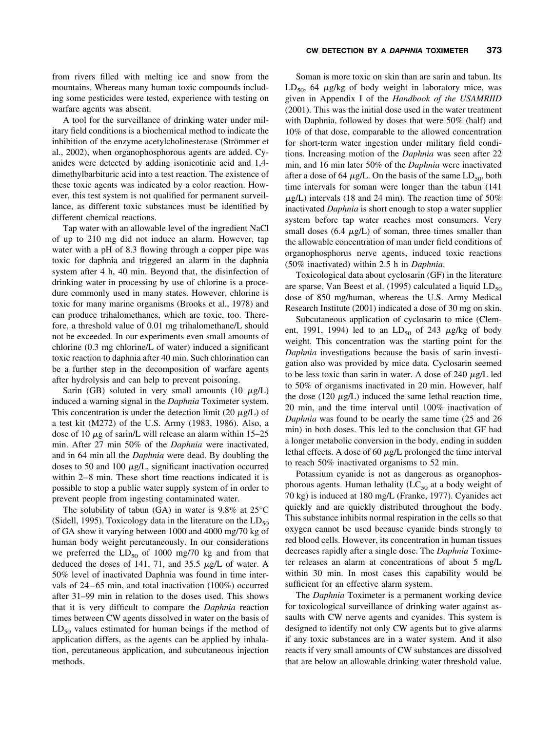from rivers filled with melting ice and snow from the mountains. Whereas many human toxic compounds including some pesticides were tested, experience with testing on warfare agents was absent.

A tool for the surveillance of drinking water under military field conditions is a biochemical method to indicate the inhibition of the enzyme acetylcholinesterase (Strömmer et al., 2002), when organophosphorous agents are added. Cyanides were detected by adding isonicotinic acid and 1,4 dimethylbarbituric acid into a test reaction. The existence of these toxic agents was indicated by a color reaction. However, this test system is not qualified for permanent surveillance, as different toxic substances must be identified by different chemical reactions.

Tap water with an allowable level of the ingredient NaCl of up to 210 mg did not induce an alarm. However, tap water with a pH of 8.3 flowing through a copper pipe was toxic for daphnia and triggered an alarm in the daphnia system after 4 h, 40 min. Beyond that, the disinfection of drinking water in processing by use of chlorine is a procedure commonly used in many states. However, chlorine is toxic for many marine organisms (Brooks et al., 1978) and can produce trihalomethanes, which are toxic, too. Therefore, a threshold value of 0.01 mg trihalomethane/L should not be exceeded. In our experiments even small amounts of chlorine (0.3 mg chlorine/L of water) induced a significant toxic reaction to daphnia after 40 min. Such chlorination can be a further step in the decomposition of warfare agents after hydrolysis and can help to prevent poisoning.

Sarin (GB) soluted in very small amounts (10  $\mu$ g/L) induced a warning signal in the *Daphnia* Toximeter system. This concentration is under the detection limit (20  $\mu$ g/L) of a test kit (M272) of the U.S. Army (1983, 1986). Also, a dose of 10  $\mu$ g of sarin/L will release an alarm within 15–25 min. After 27 min 50% of the *Daphnia* were inactivated, and in 64 min all the *Daphnia* were dead. By doubling the doses to 50 and 100  $\mu$ g/L, significant inactivation occurred within 2–8 min. These short time reactions indicated it is possible to stop a public water supply system of in order to prevent people from ingesting contaminated water.

The solubility of tabun (GA) in water is  $9.8\%$  at  $25^{\circ}$ C (Sidell, 1995). Toxicology data in the literature on the  $LD_{50}$ of GA show it varying between 1000 and 4000 mg/70 kg of human body weight percutaneously. In our considerations we preferred the  $LD_{50}$  of 1000 mg/70 kg and from that deduced the doses of 141, 71, and 35.5  $\mu$ g/L of water. A 50% level of inactivated Daphnia was found in time intervals of 24 – 65 min, and total inactivation (100%) occurred after 31–99 min in relation to the doses used. This shows that it is very difficult to compare the *Daphnia* reaction times between CW agents dissolved in water on the basis of  $LD_{50}$  values estimated for human beings if the method of application differs, as the agents can be applied by inhalation, percutaneous application, and subcutaneous injection methods.

**CW DETECTION BY A** *DAPHNIA* **TOXIMETER 373**

Soman is more toxic on skin than are sarin and tabun. Its  $LD_{50}$ , 64  $\mu$ g/kg of body weight in laboratory mice, was given in Appendix I of the *Handbook of the USAMRIID* (2001). This was the initial dose used in the water treatment with Daphnia, followed by doses that were 50% (half) and 10% of that dose, comparable to the allowed concentration for short-term water ingestion under military field conditions. Increasing motion of the *Daphnia* was seen after 22 min, and 16 min later 50% of the *Daphnia* were inactivated after a dose of 64  $\mu$ g/L. On the basis of the same LD<sub>50</sub>, both time intervals for soman were longer than the tabun (141  $\mu$ g/L) intervals (18 and 24 min). The reaction time of 50% inactivated *Daphnia* is short enough to stop a water supplier system before tap water reaches most consumers. Very small doses (6.4  $\mu$ g/L) of soman, three times smaller than the allowable concentration of man under field conditions of organophosphorus nerve agents, induced toxic reactions (50% inactivated) within 2.5 h in *Daphnia*.

Toxicological data about cyclosarin (GF) in the literature are sparse. Van Beest et al. (1995) calculated a liquid  $LD_{50}$ dose of 850 mg/human, whereas the U.S. Army Medical Research Institute (2001) indicated a dose of 30 mg on skin.

Subcutaneous application of cyclosarin to mice (Clement, 1991, 1994) led to an  $LD_{50}$  of 243  $\mu$ g/kg of body weight. This concentration was the starting point for the *Daphnia* investigations because the basis of sarin investigation also was provided by mice data. Cyclosarin seemed to be less toxic than sarin in water. A dose of 240  $\mu$ g/L led to 50% of organisms inactivated in 20 min. However, half the dose (120  $\mu$ g/L) induced the same lethal reaction time, 20 min, and the time interval until 100% inactivation of *Daphnia* was found to be nearly the same time (25 and 26 min) in both doses. This led to the conclusion that GF had a longer metabolic conversion in the body, ending in sudden lethal effects. A dose of 60  $\mu$ g/L prolonged the time interval to reach 50% inactivated organisms to 52 min.

Potassium cyanide is not as dangerous as organophosphorous agents. Human lethality  $(LC_{50}$  at a body weight of 70 kg) is induced at 180 mg/L (Franke, 1977). Cyanides act quickly and are quickly distributed throughout the body. This substance inhibits normal respiration in the cells so that oxygen cannot be used because cyanide binds strongly to red blood cells. However, its concentration in human tissues decreases rapidly after a single dose. The *Daphnia* Toximeter releases an alarm at concentrations of about 5 mg/L within 30 min. In most cases this capability would be sufficient for an effective alarm system.

The *Daphnia* Toximeter is a permanent working device for toxicological surveillance of drinking water against assaults with CW nerve agents and cyanides. This system is designed to identify not only CW agents but to give alarms if any toxic substances are in a water system. And it also reacts if very small amounts of CW substances are dissolved that are below an allowable drinking water threshold value.